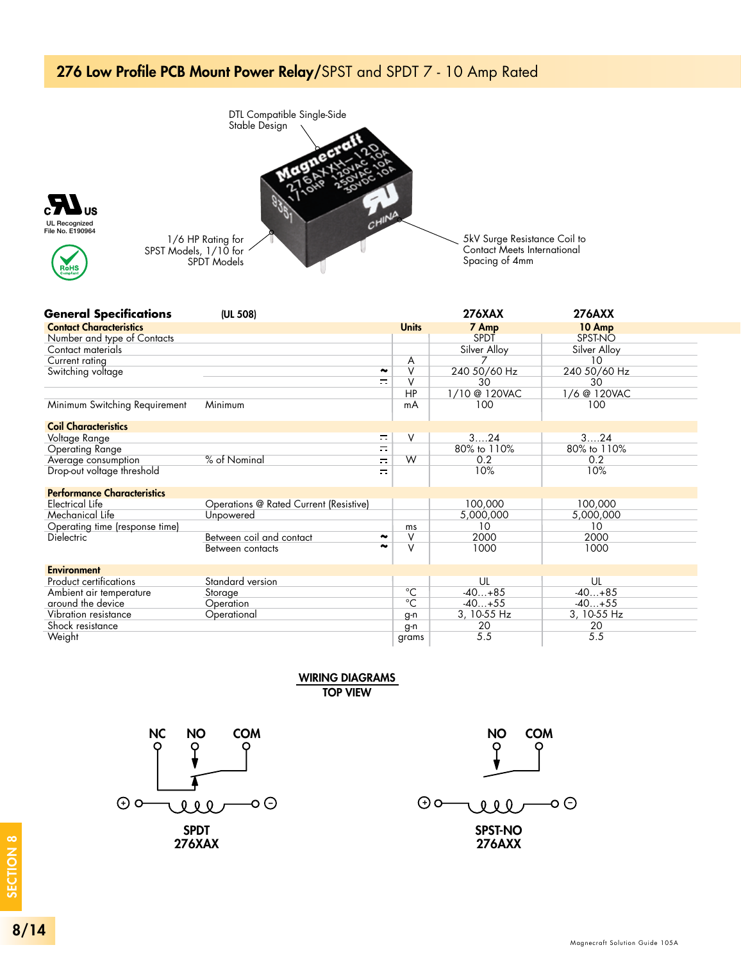## 276 Low Profile PCB Mount Power Relay/SPST and SPDT 7 - 10 Amp Rated







0.81 MAX **General Specifications** (UL 508) 276XAX 276AXX Contact Characteristics **Units** 7 Amp 10 Amp Number and type of Contacts SPDT SPST-NO Contact materials Silver Alloy Silver Alloy Current rating A 7 10  $\frac{1}{\pi}$ V 240 50/60 Hz 240 50/60 Hz Switching voltage V 30 30 (12.7) HP 1/10 @ 120VAC 1/6 @ 120VAC Minimum Switching Requirement Minimum 100 100 mA Coil Characteristics Voltage Range  $\equiv$ V 3….24 3….24 Operating Range Ξ 80% to 110% 80% to 110% Average consumption % of Nominal  $\equiv$ W 0.2 0.2 Drop-out voltage threshold 10%  $\equiv$ 10% Performance Characteristics rerrormance<br>Electrical Life Operations @ Rated Current (Resistive) 100,000 100,000 Mechanical Life Unpowered 5,000,000 5,000,000 Operating time (response time) ms 10 10 2000 Dielectric Between coil and contact ~  $V$  0.035  $\sim$ V 2000 ~  $\overline{\mathsf{V}}$ 1000 1000 Between contacts  $\mathsf{v}$  | 0.14 Environment 3 PLACES (3.5) 0.02 DIA. (0.5) Standard version Product certifications UL UL Ambient air temperature  $-40...+85$  $-40...+85$ Storage **Contains Storage**  $^{\circ}C$ around the device -40…+55  $-40...+55$ **Operation**  $^{\circ}C$ Vibration resistance **Operational** 3, 10-55 Hz 3, 10-55 Hz g-n  $\overline{20}$ Shock resistance 20 g-n 5.5 grams 5.5

Weight

WIRING DIAGRAMS TOP VIEW TERMINAL WIRDS (BOTTOM VIEW)



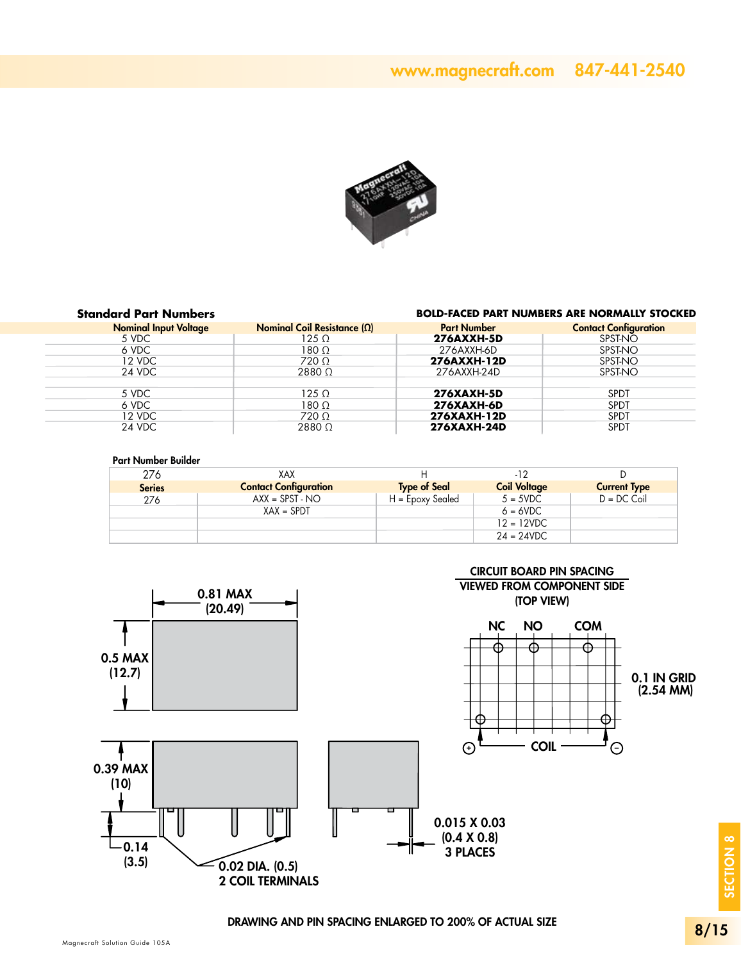### www.magnecraft.com 847-441-2540



#### **Standard Part Numbers**

#### **BOLD-FACED PART NUMBERS ARE NORMALLY STOCKED**

| <b>Nominal Input Voltage</b> | Nominal Coil Resistance $(\Omega)$ | <b>Part Number</b> | <b>Contact Configuration</b> |
|------------------------------|------------------------------------|--------------------|------------------------------|
| 5 VDC                        | 125 Ω                              | <b>276AXXH-5D</b>  | SPST-NO                      |
| 6 VDC                        | 180 Ω                              | 276AXXH-6D         | SPST-NO                      |
| 12 VDC                       | $720 \Omega$                       | 276AXXH-12D        | SPST-NO                      |
| 24 VDC                       | $2880\Omega$                       | 276AXXH-24D        | SPST-NO                      |
|                              |                                    |                    |                              |
| 5 VDC                        | $125 \Omega$                       | <b>276XAXH-5D</b>  | <b>SPDT</b>                  |
| 6 VDC                        | 180 Ω                              | <b>276XAXH-6D</b>  | <b>SPDT</b>                  |
| 12 VDC                       | $720 \Omega$                       | 276XAXH-12D        | <b>SPDT</b>                  |
| 24 VDC                       | $2880\Omega$                       | 276XAXH-24D        | <b>SPDT</b>                  |

#### Part Number Builder

| 276           | XAX                          | н                   | -12                 |                     |
|---------------|------------------------------|---------------------|---------------------|---------------------|
| <b>Series</b> | <b>Contact Configuration</b> | <b>Type of Seal</b> | <b>Coil Voltage</b> | <b>Current Type</b> |
| 276           | $AXX = SPST - NO$            | H = Epoxy Sealed    | $5 = 5VDC$          | $D = DC$ Coil       |
|               | $XAX = SPDT$                 |                     | $6 = 6VDC$          |                     |
|               |                              |                     | $12 = 12VDC$        |                     |
|               |                              |                     | $24 = 24VDC$        |                     |



SECTION 8

SECTION 8